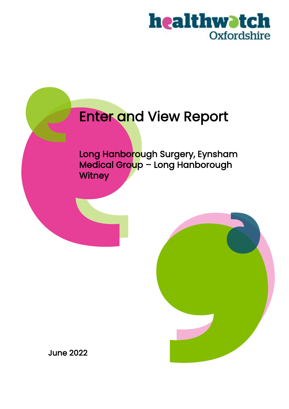

# Enter and View Report

Long Hanborough Surgery, Eynsham Medical Group – Long Hanborough **Witney** 



June 2022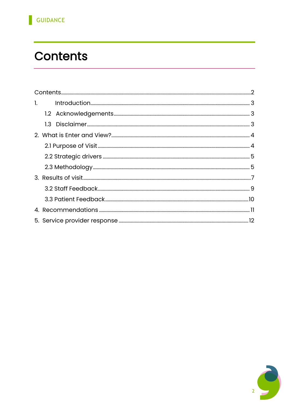# <span id="page-1-0"></span>**Contents**

| $\mathbf{l}$ , $\mathbf{l}$ |  |  |
|-----------------------------|--|--|
|                             |  |  |
|                             |  |  |
|                             |  |  |
|                             |  |  |
|                             |  |  |
|                             |  |  |
|                             |  |  |
|                             |  |  |
|                             |  |  |
|                             |  |  |
|                             |  |  |

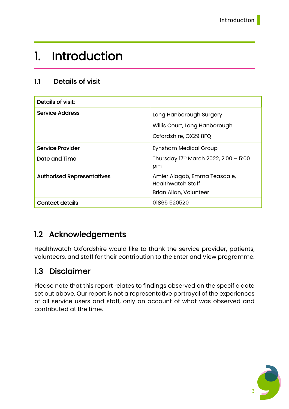### <span id="page-2-0"></span>1. Introduction

#### 1.1 Details of visit

| Details of visit:                 |                                                          |  |  |
|-----------------------------------|----------------------------------------------------------|--|--|
| <b>Service Address</b>            | Long Hanborough Surgery                                  |  |  |
|                                   | Willis Court, Long Hanborough                            |  |  |
|                                   | Oxfordshire, OX29 8FQ                                    |  |  |
| <b>Service Provider</b>           | Eynsham Medical Group                                    |  |  |
| Date and Time                     | Thursday 17th March 2022, 2:00 - 5:00<br>pm              |  |  |
| <b>Authorised Representatives</b> | Amier Alagab, Emma Teasdale,<br><b>Healthwatch Staff</b> |  |  |
|                                   | Brian Allan, Volunteer                                   |  |  |
| <b>Contact details</b>            | 01865 520520                                             |  |  |

### <span id="page-2-1"></span>1.2 Acknowledgements

Healthwatch Oxfordshire would like to thank the service provider, patients, volunteers, and staff for their contribution to the Enter and View programme.

### <span id="page-2-2"></span>1.3 Disclaimer

Please note that this report relates to findings observed on the specific date set out above. Our report is not a representative portrayal of the experiences of all service users and staff, only an account of what was observed and contributed at the time.

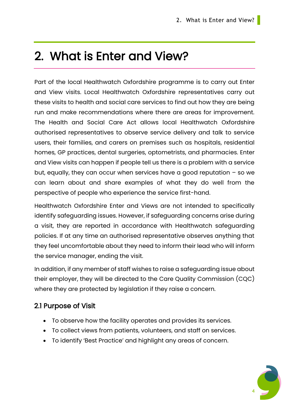## <span id="page-3-0"></span>2. What is Enter and View?

Part of the local Healthwatch Oxfordshire programme is to carry out Enter and View visits. Local Healthwatch Oxfordshire representatives carry out these visits to health and social care services to find out how they are being run and make recommendations where there are areas for improvement. The Health and Social Care Act allows local Healthwatch Oxfordshire authorised representatives to observe service delivery and talk to service users, their families, and carers on premises such as hospitals, residential homes, GP practices, dental surgeries, optometrists, and pharmacies. Enter and View visits can happen if people tell us there is a problem with a service but, equally, they can occur when services have a good reputation  $-$  so we can learn about and share examples of what they do well from the perspective of people who experience the service first-hand.

Healthwatch Oxfordshire Enter and Views are not intended to specifically identify safeguarding issues. However, if safeguarding concerns arise during a visit, they are reported in accordance with Healthwatch safeguarding policies. If at any time an authorised representative observes anything that they feel uncomfortable about they need to inform their lead who will inform the service manager, ending the visit.

In addition, if any member of staff wishes to raise a safeguarding issue about their employer, they will be directed to the Care Quality Commission (CQC) where they are protected by legislation if they raise a concern.

#### <span id="page-3-1"></span>2.1 Purpose of Visit

- To observe how the facility operates and provides its services.
- To collect views from patients, volunteers, and staff on services.
- To identify 'Best Practice' and highlight any areas of concern.

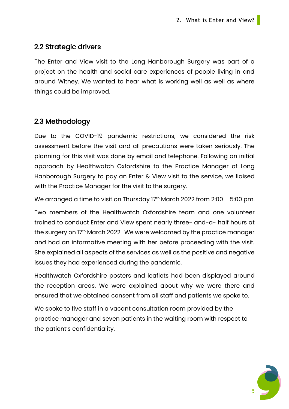#### <span id="page-4-0"></span>2.2 Strategic drivers

The Enter and View visit to the Long Hanborough Surgery was part of a project on the health and social care experiences of people living in and around Witney. We wanted to hear what is working well as well as where things could be improved.

#### <span id="page-4-1"></span>2.3 Methodology

Due to the COVID-19 pandemic restrictions, we considered the risk assessment before the visit and all precautions were taken seriously. The planning for this visit was done by email and telephone. Following an initial approach by Healthwatch Oxfordshire to the Practice Manager of Long Hanborough Surgery to pay an Enter & View visit to the service, we liaised with the Practice Manager for the visit to the surgery.

We arranged a time to visit on Thursday  $17<sup>th</sup>$  March 2022 from 2:00 – 5:00 pm.

Two members of the Healthwatch Oxfordshire team and one volunteer trained to conduct Enter and View spent nearly three- and-a- half hours at the surgery on 17<sup>th</sup> March 2022. We were welcomed by the practice manager and had an informative meeting with her before proceeding with the visit. She explained all aspects of the services as well as the positive and negative issues they had experienced during the pandemic.

Healthwatch Oxfordshire posters and leaflets had been displayed around the reception areas. We were explained about why we were there and ensured that we obtained consent from all staff and patients we spoke to.

We spoke to five staff in a vacant consultation room provided by the practice manager and seven patients in the waiting room with respect to the patient's confidentiality.

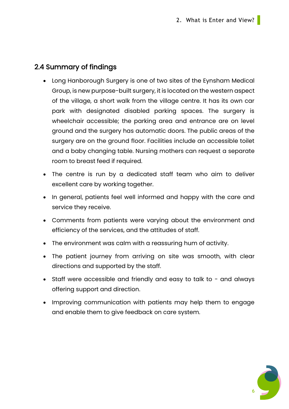#### 2.4 Summary of findings

- Long Hanborough Surgery is one of two sites of the Eynsham Medical Group, is new purpose-built surgery, it is located on the western aspect of the village, a short walk from the village centre. It has its own car park with designated disabled parking spaces. The surgery is wheelchair accessible; the parking area and entrance are on level ground and the surgery has automatic doors. The public areas of the surgery are on the ground floor. Facilities include an accessible toilet and a baby changing table. Nursing mothers can request a separate room to breast feed if required.
- The centre is run by a dedicated staff team who aim to deliver excellent care by working together.
- In general, patients feel well informed and happy with the care and service they receive.
- Comments from patients were varying about the environment and efficiency of the services, and the attitudes of staff.
- The environment was calm with a reassuring hum of activity.
- The patient journey from arriving on site was smooth, with clear directions and supported by the staff.
- Staff were accessible and friendly and easy to talk to and always offering support and direction.
- Improving communication with patients may help them to engage and enable them to give feedback on care system.

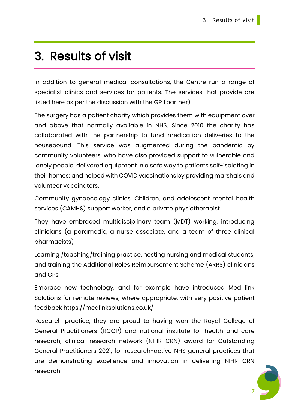## <span id="page-6-0"></span>3. Results of visit

In addition to general medical consultations, the Centre run a range of specialist clinics and services for patients. The services that provide are listed here as per the discussion with the GP (partner):

The surgery has a patient charity which provides them with equipment over and above that normally available in NHS. Since 2010 the charity has collaborated with the partnership to fund medication deliveries to the housebound. This service was augmented during the pandemic by community volunteers, who have also provided support to vulnerable and lonely people; delivered equipment in a safe way to patients self-isolating in their homes; and helped with COVID vaccinations by providing marshals and volunteer vaccinators.

Community gynaecology clinics, Children, and adolescent mental health services (CAMHS) support worker, and a private physiotherapist

They have embraced multidisciplinary team (MDT) working, introducing clinicians (a paramedic, a nurse associate, and a team of three clinical pharmacists)

Learning /teaching/training practice, hosting nursing and medical students, and training the Additional Roles Reimbursement Scheme (ARRS) clinicians and GPs

Embrace new technology, and for example have introduced Med link Solutions for remote reviews, where appropriate, with very positive patient feedback https://medlinksolutions.co.uk/

Research practice, they are proud to having won the Royal College of General Practitioners (RCGP) and national institute for health and care research, clinical research network (NIHR CRN) award for Outstanding General Practitioners 2021, for research-active NHS general practices that are demonstrating excellence and innovation in delivering NIHR CRN research

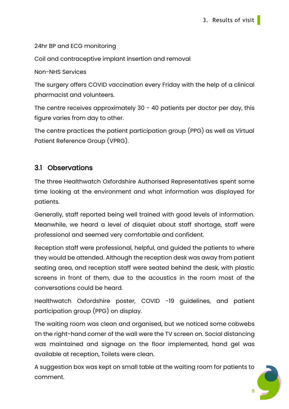24hr BP and ECG monitoring

Coil and contraceptive implant insertion and removal

Non-NHS Services

The surgery offers COVID vaccination every Friday with the help of a clinical pharmacist and volunteers.

The centre receives approximately 30 - 40 patients per doctor per day, this figure varies from day to other.

The centre practices the patient participation group (PPG) as well as Virtual Patient Reference Group (VPRG).

#### 3.1 Observations

The three Healthwatch Oxfordshire Authorised Representatives spent some time looking at the environment and what information was displayed for patients.

Generally, staff reported being well trained with good levels of information. Meanwhile, we heard a level of disquiet about staff shortage, staff were professional and seemed very comfortable and confident.

Reception staff were professional, helpful, and guided the patients to where they would be attended. Although the reception desk was away from patient seating area, and reception staff were seated behind the desk, with plastic screens in front of them, due to the acoustics in the room most of the conversations could be heard.

Healthwatch Oxfordshire poster, COVID -19 guidelines, and patient participation group (PPG) on display.

The waiting room was clean and organised, but we noticed some cobwebs on the right-hand corner of the wall were the TV screen on. Social distancing was maintained and signage on the floor implemented, hand gel was available at reception, Toilets were clean.

A suggestion box was kept on small table at the waiting room for patients to comment.

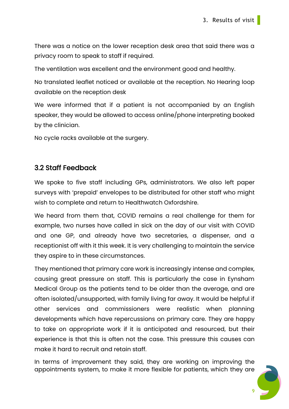There was a notice on the lower reception desk area that said there was a privacy room to speak to staff if required.

The ventilation was excellent and the environment good and healthy.

No translated leaflet noticed or available at the reception. No Hearing loop available on the reception desk

We were informed that if a patient is not accompanied by an English speaker, they would be allowed to access online/phone interpreting booked by the clinician.

No cycle racks available at the surgery.

#### <span id="page-8-0"></span>3.2 Staff Feedback

We spoke to five staff including GPs, administrators. We also left paper surveys with 'prepaid' envelopes to be distributed for other staff who might wish to complete and return to Healthwatch Oxfordshire.

We heard from them that, COVID remains a real challenge for them for example, two nurses have called in sick on the day of our visit with COVID and one GP, and already have two secretaries, a dispenser, and a receptionist off with it this week. It is very challenging to maintain the service they aspire to in these circumstances.

They mentioned that primary care work is increasingly intense and complex, causing great pressure on staff. This is particularly the case in Eynsham Medical Group as the patients tend to be older than the average, and are often isolated/unsupported, with family living far away. It would be helpful if other services and commissioners were realistic when planning developments which have repercussions on primary care. They are happy to take on appropriate work if it is anticipated and resourced, but their experience is that this is often not the case. This pressure this causes can make it hard to recruit and retain staff.

In terms of improvement they said, they are working on improving the appointments system, to make it more flexible for patients, which they are

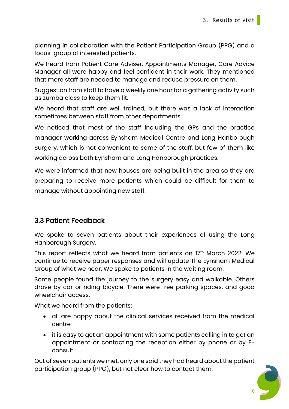planning in collaboration with the Patient Participation Group (PPG) and a focus-group of interested patients.

We heard from Patient Care Adviser, Appointments Manager, Care Advice Manager all were happy and feel confident in their work. They mentioned that more staff are needed to manage and reduce pressure on them.

Suggestion from staff to have a weekly one hour for a gathering activity such as zumba class to keep them fit.

We heard that staff are well trained, but there was a lack of interaction sometimes between staff from other departments.

We noticed that most of the staff including the GPs and the practice manager working across Eynsham Medical Centre and Long Hanborough Surgery, which is not convenient to some of the staff, but few of them like working across both Eynsham and Long Hanborough practices.

We were informed that new houses are being built in the area so they are preparing to receive more patients which could be difficult for them to manage without appointing new staff.

#### <span id="page-9-0"></span>3.3 Patient Feedback

We spoke to seven patients about their experiences of using the Long Hanborough Surgery.

This report reflects what we heard from patients on 17th March 2022. We continue to receive paper responses and will update The Eynsham Medical Group of what we hear. We spoke to patients in the waiting room.

Some people found the journey to the surgery easy and walkable. Others drove by car or riding bicycle. There were free parking spaces, and good wheelchair access.

What we heard from the patients:

- all are happy about the clinical services received from the medical centre
- it is easy to get an appointment with some patients calling in to get an appointment or contacting the reception either by phone or by Econsult.

Out of seven patients we met, only one said they had heard about the patient participation group (PPG), but not clear how to contact them.

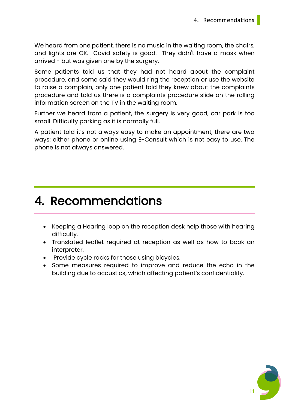We heard from one patient, there is no music in the waiting room, the chairs, and lights are OK. Covid safety is good. They didn't have a mask when arrived - but was given one by the surgery.

Some patients told us that they had not heard about the complaint procedure, and some said they would ring the reception or use the website to raise a complain, only one patient told they knew about the complaints procedure and told us there is a complaints procedure slide on the rolling information screen on the TV in the waiting room.

Further we heard from a patient, the surgery is very good, car park is too small. Difficulty parking as it is normally full.

A patient told it's not always easy to make an appointment, there are two ways: either phone or online using E-Consult which is not easy to use. The phone is not always answered.

### <span id="page-10-0"></span>4. Recommendations

- Keeping a Hearing loop on the reception desk help those with hearing difficulty.
- Translated leaflet required at reception as well as how to book an interpreter.
- Provide cycle racks for those using bicycles.
- Some measures required to improve and reduce the echo in the building due to acoustics, which affecting patient's confidentiality.

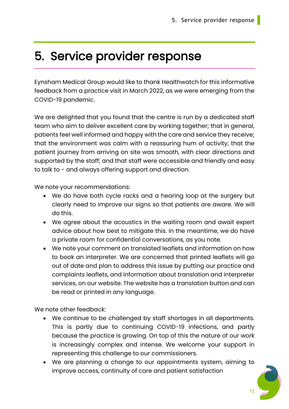## <span id="page-11-0"></span>5. Service provider response

Eynsham Medical Group would like to thank Healthwatch for this informative feedback from a practice visit in March 2022, as we were emerging from the COVID-19 pandemic.

We are delighted that you found that the centre is run by a dedicated staff team who aim to deliver excellent care by working together; that in general, patients feel well informed and happy with the care and service they receive; that the environment was calm with a reassuring hum of activity; that the patient journey from arriving on site was smooth, with clear directions and supported by the staff; and that staff were accessible and friendly and easy to talk to - and always offering support and direction.

We note your recommendations:

- We do have both cycle racks and a hearing loop at the surgery but clearly need to improve our signs so that patients are aware. We will do this.
- We agree about the acoustics in the waiting room and await expert advice about how best to mitigate this. In the meantime, we do have a private room for confidential conversations, as you note.
- We note your comment on translated leaflets and information on how to book an interpreter. We are concerned that printed leaflets will go out of date and plan to address this issue by putting our practice and complaints leaflets, and information about translation and interpreter services, on our website. The website has a translation button and can be read or printed in any language.

We note other feedback:

- We continue to be challenged by staff shortages in all departments. This is partly due to continuing COVID-19 infections, and partly because the practice is growing. On top of this the nature of our work is increasingly complex and intense. We welcome your support in representing this challenge to our commissioners.
- We are planning a change to our appointments system, aiming to improve access, continuity of care and patient satisfaction